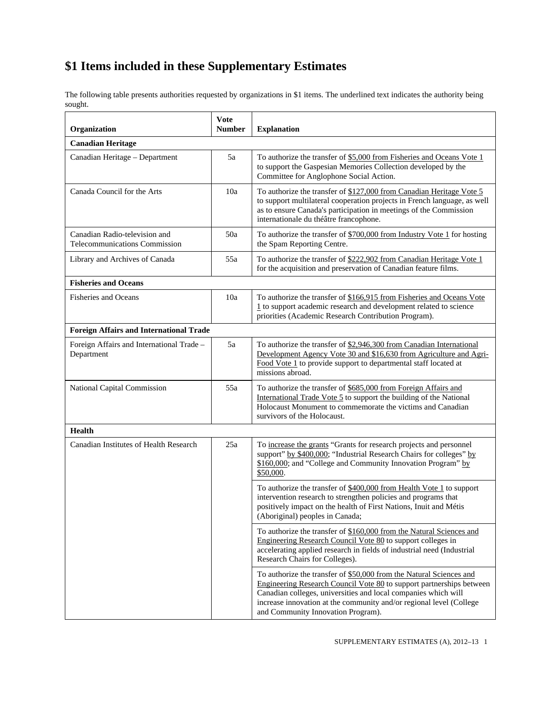## **\$1 Items included in these Supplementary Estimates**

The following table presents authorities requested by organizations in \$1 items. The underlined text indicates the authority being sought.

| Organization                                                   | <b>Vote</b><br><b>Number</b> | <b>Explanation</b>                                                                                                                                                                                                                                                                                                         |  |  |
|----------------------------------------------------------------|------------------------------|----------------------------------------------------------------------------------------------------------------------------------------------------------------------------------------------------------------------------------------------------------------------------------------------------------------------------|--|--|
| <b>Canadian Heritage</b>                                       |                              |                                                                                                                                                                                                                                                                                                                            |  |  |
| Canadian Heritage - Department                                 | 5a                           | To authorize the transfer of \$5,000 from Fisheries and Oceans Vote 1<br>to support the Gaspesian Memories Collection developed by the<br>Committee for Anglophone Social Action.                                                                                                                                          |  |  |
| Canada Council for the Arts                                    | 10a                          | To authorize the transfer of \$127,000 from Canadian Heritage Vote 5<br>to support multilateral cooperation projects in French language, as well<br>as to ensure Canada's participation in meetings of the Commission<br>internationale du théâtre francophone.                                                            |  |  |
| Canadian Radio-television and<br>Telecommunications Commission | 50a                          | To authorize the transfer of $$700,000$ from Industry Vote 1 for hosting<br>the Spam Reporting Centre.                                                                                                                                                                                                                     |  |  |
| Library and Archives of Canada                                 | 55a                          | To authorize the transfer of \$222,902 from Canadian Heritage Vote 1<br>for the acquisition and preservation of Canadian feature films.                                                                                                                                                                                    |  |  |
| <b>Fisheries and Oceans</b>                                    |                              |                                                                                                                                                                                                                                                                                                                            |  |  |
| <b>Fisheries and Oceans</b>                                    | 10a                          | To authorize the transfer of \$166,915 from Fisheries and Oceans Vote<br>$1$ to support academic research and development related to science<br>priorities (Academic Research Contribution Program).                                                                                                                       |  |  |
| <b>Foreign Affairs and International Trade</b>                 |                              |                                                                                                                                                                                                                                                                                                                            |  |  |
| Foreign Affairs and International Trade -<br>Department        | 5a                           | To authorize the transfer of \$2,946,300 from Canadian International<br>Development Agency Vote 30 and \$16,630 from Agriculture and Agri-<br>Food Vote 1 to provide support to departmental staff located at<br>missions abroad.                                                                                          |  |  |
| National Capital Commission                                    | 55a                          | To authorize the transfer of \$685,000 from Foreign Affairs and<br>International Trade Vote 5 to support the building of the National<br>Holocaust Monument to commemorate the victims and Canadian<br>survivors of the Holocaust.                                                                                         |  |  |
| <b>Health</b>                                                  |                              |                                                                                                                                                                                                                                                                                                                            |  |  |
| Canadian Institutes of Health Research                         | 25a                          | To increase the grants "Grants for research projects and personnel<br>support" by \$400,000; "Industrial Research Chairs for colleges" by<br>\$160,000; and "College and Community Innovation Program" by<br>\$50,000.                                                                                                     |  |  |
|                                                                |                              | To authorize the transfer of \$400,000 from Health Vote 1 to support<br>intervention research to strengthen policies and programs that<br>positively impact on the health of First Nations, Inuit and Métis<br>(Aboriginal) peoples in Canada;                                                                             |  |  |
|                                                                |                              | To authorize the transfer of \$160,000 from the Natural Sciences and<br>Engineering Research Council Vote 80 to support colleges in<br>accelerating applied research in fields of industrial need (Industrial<br>Research Chairs for Colleges).                                                                            |  |  |
|                                                                |                              | To authorize the transfer of \$50,000 from the Natural Sciences and<br>Engineering Research Council Vote 80 to support partnerships between<br>Canadian colleges, universities and local companies which will<br>increase innovation at the community and/or regional level (College<br>and Community Innovation Program). |  |  |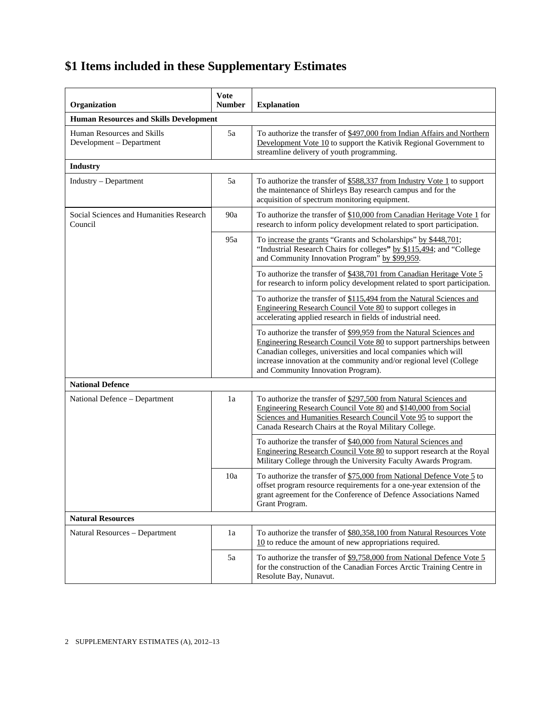## **\$1 Items included in these Supplementary Estimates**

| Organization                                           | <b>Vote</b><br><b>Number</b>                  | <b>Explanation</b>                                                                                                                                                                                                                                                                                                         |  |  |  |
|--------------------------------------------------------|-----------------------------------------------|----------------------------------------------------------------------------------------------------------------------------------------------------------------------------------------------------------------------------------------------------------------------------------------------------------------------------|--|--|--|
|                                                        | <b>Human Resources and Skills Development</b> |                                                                                                                                                                                                                                                                                                                            |  |  |  |
| Human Resources and Skills<br>Development - Department | 5a                                            | To authorize the transfer of \$497,000 from Indian Affairs and Northern<br>Development Vote 10 to support the Kativik Regional Government to<br>streamline delivery of youth programming.                                                                                                                                  |  |  |  |
| <b>Industry</b>                                        |                                               |                                                                                                                                                                                                                                                                                                                            |  |  |  |
| Industry – Department                                  | 5a                                            | To authorize the transfer of \$588,337 from Industry Vote 1 to support<br>the maintenance of Shirleys Bay research campus and for the<br>acquisition of spectrum monitoring equipment.                                                                                                                                     |  |  |  |
| Social Sciences and Humanities Research<br>Council     | 90a                                           | To authorize the transfer of \$10,000 from Canadian Heritage Vote 1 for<br>research to inform policy development related to sport participation.                                                                                                                                                                           |  |  |  |
|                                                        | 95a                                           | To increase the grants "Grants and Scholarships" by \$448,701;<br>"Industrial Research Chairs for colleges" by \$115,494; and "College<br>and Community Innovation Program" by \$99,959.                                                                                                                                   |  |  |  |
|                                                        |                                               | To authorize the transfer of \$438,701 from Canadian Heritage Vote 5<br>for research to inform policy development related to sport participation.                                                                                                                                                                          |  |  |  |
|                                                        |                                               | To authorize the transfer of \$115,494 from the Natural Sciences and<br>Engineering Research Council Vote 80 to support colleges in<br>accelerating applied research in fields of industrial need.                                                                                                                         |  |  |  |
|                                                        |                                               | To authorize the transfer of \$99,959 from the Natural Sciences and<br>Engineering Research Council Vote 80 to support partnerships between<br>Canadian colleges, universities and local companies which will<br>increase innovation at the community and/or regional level (College<br>and Community Innovation Program). |  |  |  |
| <b>National Defence</b>                                |                                               |                                                                                                                                                                                                                                                                                                                            |  |  |  |
| National Defence - Department                          | 1a                                            | To authorize the transfer of \$297,500 from Natural Sciences and<br>Engineering Research Council Vote 80 and \$140,000 from Social<br>Sciences and Humanities Research Council Vote 95 to support the<br>Canada Research Chairs at the Royal Military College.                                                             |  |  |  |
|                                                        |                                               | To authorize the transfer of \$40,000 from Natural Sciences and<br>Engineering Research Council Vote 80 to support research at the Royal<br>Military College through the University Faculty Awards Program.                                                                                                                |  |  |  |
|                                                        | 10a                                           | To authorize the transfer of \$75,000 from National Defence Vote 5 to<br>offset program resource requirements for a one-year extension of the<br>grant agreement for the Conference of Defence Associations Named<br>Grant Program.                                                                                        |  |  |  |
| <b>Natural Resources</b>                               |                                               |                                                                                                                                                                                                                                                                                                                            |  |  |  |
| Natural Resources - Department                         | 1a                                            | To authorize the transfer of \$80,358,100 from Natural Resources Vote<br>$10$ to reduce the amount of new appropriations required.                                                                                                                                                                                         |  |  |  |
|                                                        | 5a                                            | To authorize the transfer of \$9,758,000 from National Defence Vote 5<br>for the construction of the Canadian Forces Arctic Training Centre in<br>Resolute Bay, Nunavut.                                                                                                                                                   |  |  |  |